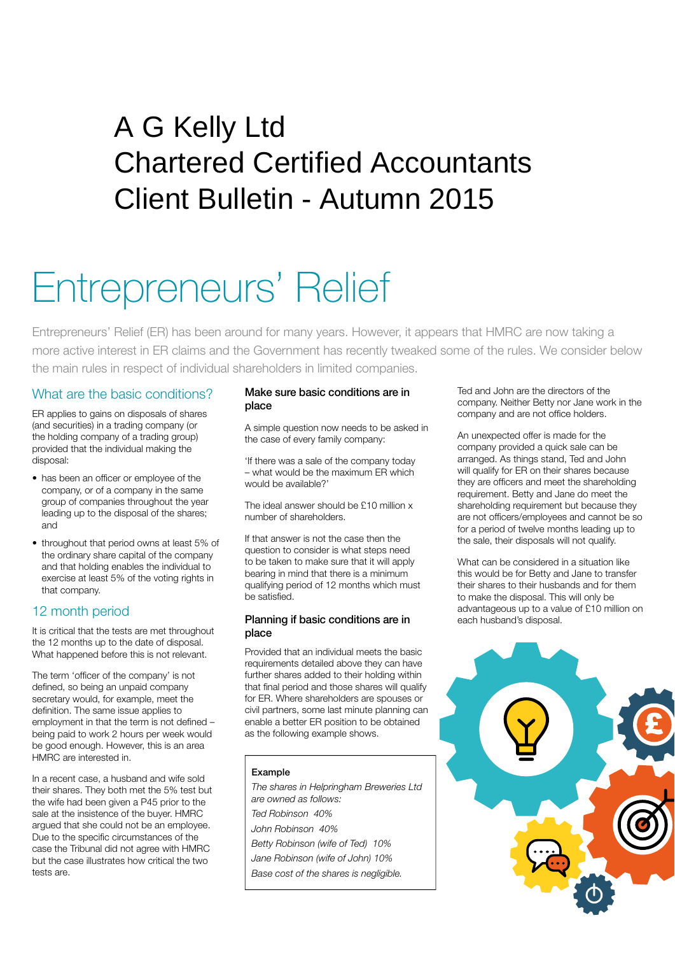# Client Bulletin - Autumn 2015 A G Kelly Ltd Chartered Certified Accountants

# Entrepreneurs' Relief

Entrepreneurs' Relief (ER) has been around for many years. However, it appears that HMRC are now taking a more active interest in ER claims and the Government has recently tweaked some of the rules. We consider below the main rules in respect of individual shareholders in limited companies.

#### What are the basic conditions?

ER applies to gains on disposals of shares (and securities) in a trading company (or the holding company of a trading group) provided that the individual making the disposal:

- has been an officer or employee of the company, or of a company in the same group of companies throughout the year leading up to the disposal of the shares; and
- throughout that period owns at least 5% of the ordinary share capital of the company and that holding enables the individual to exercise at least 5% of the voting rights in that company.

## 12 month period

It is critical that the tests are met throughout the 12 months up to the date of disposal. What happened before this is not relevant.

The term 'officer of the company' is not defined, so being an unpaid company secretary would, for example, meet the definition. The same issue applies to employment in that the term is not defined – being paid to work 2 hours per week would be good enough. However, this is an area HMRC are interested in.

In a recent case, a husband and wife sold their shares. They both met the 5% test but the wife had been given a P45 prior to the sale at the insistence of the buyer. HMRC argued that she could not be an employee. Due to the specific circumstances of the case the Tribunal did not agree with HMRC but the case illustrates how critical the two tests are.

#### Make sure basic conditions are in place

A simple question now needs to be asked in the case of every family company:

'If there was a sale of the company today – what would be the maximum ER which would be available?'

The ideal answer should be £10 million x number of shareholders.

If that answer is not the case then the question to consider is what steps need to be taken to make sure that it will apply bearing in mind that there is a minimum qualifying period of 12 months which must be satisfied.

#### Planning if basic conditions are in place

Provided that an individual meets the basic requirements detailed above they can have further shares added to their holding within that final period and those shares will qualify for ER. Where shareholders are spouses or civil partners, some last minute planning can enable a better ER position to be obtained as the following example shows.

#### Example

*The shares in Helpringham Breweries Ltd are owned as follows: Ted Robinson 40% John Robinson 40% Betty Robinson (wife of Ted) 10% Jane Robinson (wife of John) 10% Base cost of the shares is negligible.*

Ted and John are the directors of the company. Neither Betty nor Jane work in the company and are not office holders.

An unexpected offer is made for the company provided a quick sale can be arranged. As things stand, Ted and John will qualify for ER on their shares because they are officers and meet the shareholding requirement. Betty and Jane do meet the shareholding requirement but because they are not officers/employees and cannot be so for a period of twelve months leading up to the sale, their disposals will not qualify.

What can be considered in a situation like this would be for Betty and Jane to transfer their shares to their husbands and for them to make the disposal. This will only be advantageous up to a value of £10 million on each husband's disposal.